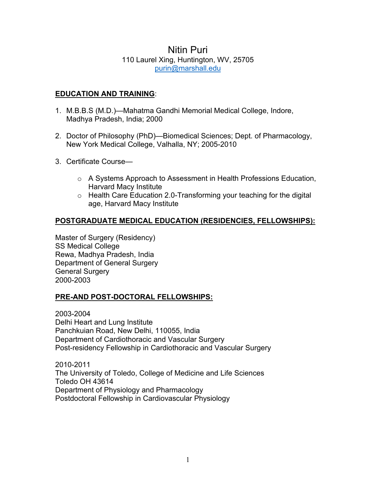# Nitin Puri 110 Laurel Xing, Huntington, WV, 25705 [purin@marshall.edu](mailto:purin@marshall.edu)

# **EDUCATION AND TRAINING**:

- 1. M.B.B.S (M.D.)—Mahatma Gandhi Memorial Medical College, Indore, Madhya Pradesh, India; 2000
- 2. Doctor of Philosophy (PhD)—Biomedical Sciences; Dept. of Pharmacology, New York Medical College, Valhalla, NY; 2005-2010
- 3. Certificate Course
	- o A Systems Approach to Assessment in Health Professions Education, Harvard Macy Institute
	- o Health Care Education 2.0-Transforming your teaching for the digital age, Harvard Macy Institute

# **POSTGRADUATE MEDICAL EDUCATION (RESIDENCIES, FELLOWSHIPS):**

Master of Surgery (Residency) SS Medical College Rewa, Madhya Pradesh, India Department of General Surgery General Surgery 2000-2003

### **PRE-AND POST-DOCTORAL FELLOWSHIPS:**

2003-2004 Delhi Heart and Lung Institute Panchkuian Road, New Delhi, 110055, India Department of Cardiothoracic and Vascular Surgery Post-residency Fellowship in Cardiothoracic and Vascular Surgery

2010-2011 The University of Toledo, College of Medicine and Life Sciences Toledo OH 43614 Department of Physiology and Pharmacology Postdoctoral Fellowship in Cardiovascular Physiology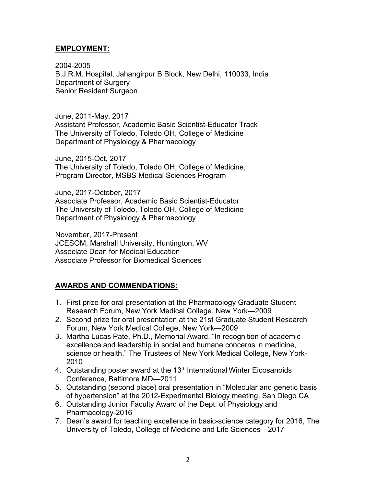### **EMPLOYMENT:**

2004-2005 B.J.R.M. Hospital, Jahangirpur B Block, New Delhi, 110033, India Department of Surgery Senior Resident Surgeon

June, 2011-May, 2017 Assistant Professor, Academic Basic Scientist-Educator Track The University of Toledo, Toledo OH, College of Medicine Department of Physiology & Pharmacology

June, 2015-Oct, 2017 The University of Toledo, Toledo OH, College of Medicine, Program Director, MSBS Medical Sciences Program

June, 2017-October, 2017 Associate Professor, Academic Basic Scientist-Educator The University of Toledo, Toledo OH, College of Medicine Department of Physiology & Pharmacology

November, 2017-Present JCESOM, Marshall University, Huntington, WV Associate Dean for Medical Education Associate Professor for Biomedical Sciences

# **AWARDS AND COMMENDATIONS:**

- 1. First prize for oral presentation at the Pharmacology Graduate Student Research Forum, New York Medical College, New York—2009
- 2. Second prize for oral presentation at the 21st Graduate Student Research Forum, New York Medical College, New York—2009
- 3. Martha Lucas Pate, Ph.D., Memorial Award, "In recognition of academic excellence and leadership in social and humane concerns in medicine, science or health." The Trustees of New York Medical College, New York-2010
- 4. Outstanding poster award at the  $13<sup>th</sup>$  International Winter Eicosanoids Conference, Baltimore MD—2011
- 5. Outstanding (second place) oral presentation in "Molecular and genetic basis of hypertension" at the 2012-Experimental Biology meeting, San Diego CA
- 6. Outstanding Junior Faculty Award of the Dept. of Physiology and Pharmacology-2016
- 7. Dean's award for teaching excellence in basic-science category for 2016, The University of Toledo, College of Medicine and Life Sciences—2017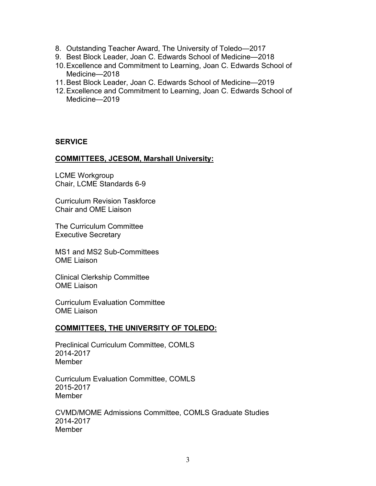- 8. Outstanding Teacher Award, The University of Toledo—2017
- 9. Best Block Leader, Joan C. Edwards School of Medicine—2018
- 10.Excellence and Commitment to Learning, Joan C. Edwards School of Medicine—2018
- 11.Best Block Leader, Joan C. Edwards School of Medicine—2019
- 12.Excellence and Commitment to Learning, Joan C. Edwards School of Medicine—2019

## **SERVICE**

## **COMMITTEES, JCESOM, Marshall University:**

LCME Workgroup Chair, LCME Standards 6-9

Curriculum Revision Taskforce Chair and OME Liaison

The Curriculum Committee Executive Secretary

MS1 and MS2 Sub-Committees OME Liaison

Clinical Clerkship Committee OME Liaison

Curriculum Evaluation Committee OME Liaison

### **COMMITTEES, THE UNIVERSITY OF TOLEDO:**

Preclinical Curriculum Committee, COMLS 2014-2017 Member

Curriculum Evaluation Committee, COMLS 2015-2017 Member

CVMD/MOME Admissions Committee, COMLS Graduate Studies 2014-2017 Member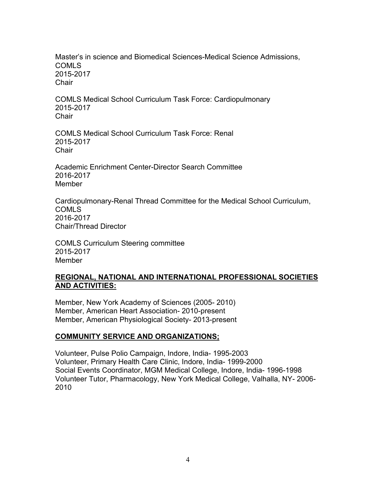Master's in science and Biomedical Sciences-Medical Science Admissions, COMLS 2015-2017 **Chair** 

COMLS Medical School Curriculum Task Force: Cardiopulmonary 2015-2017 **Chair** 

COMLS Medical School Curriculum Task Force: Renal 2015-2017 **Chair** 

Academic Enrichment Center-Director Search Committee 2016-2017 Member

Cardiopulmonary-Renal Thread Committee for the Medical School Curriculum, COMLS 2016-2017 Chair/Thread Director

COMLS Curriculum Steering committee 2015-2017 **Member** 

### **REGIONAL, NATIONAL AND INTERNATIONAL PROFESSIONAL SOCIETIES AND ACTIVITIES:**

Member, New York Academy of Sciences (2005- 2010) Member, American Heart Association- 2010-present Member, American Physiological Society- 2013-present

# **COMMUNITY SERVICE AND ORGANIZATIONS;**

Volunteer, Pulse Polio Campaign, Indore, India- 1995-2003 Volunteer, Primary Health Care Clinic, Indore, India- 1999-2000 Social Events Coordinator, MGM Medical College, Indore, India- 1996-1998 Volunteer Tutor, Pharmacology, New York Medical College, Valhalla, NY- 2006- 2010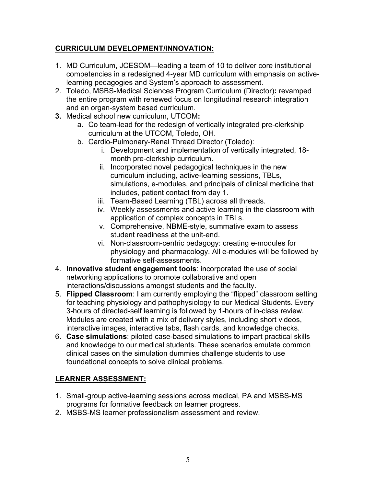# **CURRICULUM DEVELOPMENT/INNOVATION:**

- 1. MD Curriculum, JCESOM—leading a team of 10 to deliver core institutional competencies in a redesigned 4-year MD curriculum with emphasis on activelearning pedagogies and System's approach to assessment.
- 2. Toledo, MSBS-Medical Sciences Program Curriculum (Director)**:** revamped the entire program with renewed focus on longitudinal research integration and an organ-system based curriculum.
- **3.** Medical school new curriculum, UTCOM**:**
	- a. Co team-lead for the redesign of vertically integrated pre-clerkship curriculum at the UTCOM, Toledo, OH.
	- b. Cardio-Pulmonary-Renal Thread Director (Toledo):
		- i. Development and implementation of vertically integrated, 18 month pre-clerkship curriculum.
		- ii. Incorporated novel pedagogical techniques in the new curriculum including, active-learning sessions, TBLs, simulations, e-modules, and principals of clinical medicine that includes, patient contact from day 1.
		- iii. Team-Based Learning (TBL) across all threads.
		- iv. Weekly assessments and active learning in the classroom with application of complex concepts in TBLs.
		- v. Comprehensive, NBME-style, summative exam to assess student readiness at the unit-end.
		- vi. Non-classroom-centric pedagogy: creating e-modules for physiology and pharmacology. All e-modules will be followed by formative self-assessments.
- 4. **Innovative student engagement tools**: incorporated the use of social networking applications to promote collaborative and open interactions/discussions amongst students and the faculty.
- 5. **Flipped Classroom**: I am currently employing the "flipped" classroom setting for teaching physiology and pathophysiology to our Medical Students. Every 3-hours of directed-self learning is followed by 1-hours of in-class review. Modules are created with a mix of delivery styles, including short videos, interactive images, interactive tabs, flash cards, and knowledge checks.
- 6. **Case simulations**: piloted case-based simulations to impart practical skills and knowledge to our medical students. These scenarios emulate common clinical cases on the simulation dummies challenge students to use foundational concepts to solve clinical problems.

# **LEARNER ASSESSMENT:**

- 1. Small-group active-learning sessions across medical, PA and MSBS-MS programs for formative feedback on learner progress.
- 2. MSBS-MS learner professionalism assessment and review.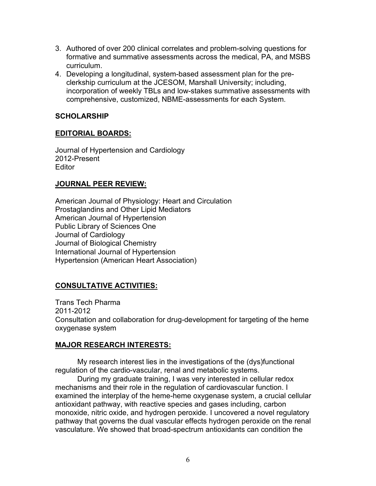- 3. Authored of over 200 clinical correlates and problem-solving questions for formative and summative assessments across the medical, PA, and MSBS curriculum.
- 4. Developing a longitudinal, system-based assessment plan for the preclerkship curriculum at the JCESOM, Marshall University; including, incorporation of weekly TBLs and low-stakes summative assessments with comprehensive, customized, NBME-assessments for each System.

## **SCHOLARSHIP**

## **EDITORIAL BOARDS:**

Journal of Hypertension and Cardiology 2012-Present **Editor** 

## **JOURNAL PEER REVIEW:**

American Journal of Physiology: Heart and Circulation Prostaglandins and Other Lipid Mediators American Journal of Hypertension Public Library of Sciences One Journal of Cardiology Journal of Biological Chemistry International Journal of Hypertension Hypertension (American Heart Association)

# **CONSULTATIVE ACTIVITIES:**

Trans Tech Pharma 2011-2012 Consultation and collaboration for drug-development for targeting of the heme oxygenase system

### **MAJOR RESEARCH INTERESTS:**

My research interest lies in the investigations of the (dys)functional regulation of the cardio-vascular, renal and metabolic systems.

During my graduate training, I was very interested in cellular redox mechanisms and their role in the regulation of cardiovascular function. I examined the interplay of the heme-heme oxygenase system, a crucial cellular antioxidant pathway, with reactive species and gases including, carbon monoxide, nitric oxide, and hydrogen peroxide. I uncovered a novel regulatory pathway that governs the dual vascular effects hydrogen peroxide on the renal vasculature. We showed that broad-spectrum antioxidants can condition the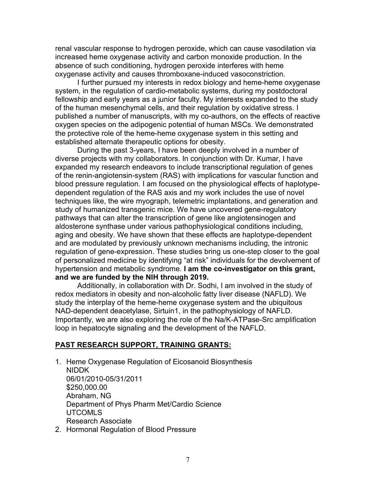renal vascular response to hydrogen peroxide, which can cause vasodilation via increased heme oxygenase activity and carbon monoxide production. In the absence of such conditioning, hydrogen peroxide interferes with heme oxygenase activity and causes thromboxane-induced vasoconstriction.

I further pursued my interests in redox biology and heme-heme oxygenase system, in the regulation of cardio-metabolic systems, during my postdoctoral fellowship and early years as a junior faculty. My interests expanded to the study of the human mesenchymal cells, and their regulation by oxidative stress. I published a number of manuscripts, with my co-authors, on the effects of reactive oxygen species on the adipogenic potential of human MSCs. We demonstrated the protective role of the heme-heme oxygenase system in this setting and established alternate therapeutic options for obesity.

During the past 3-years, I have been deeply involved in a number of diverse projects with my collaborators. In conjunction with Dr. Kumar, I have expanded my research endeavors to include transcriptional regulation of genes of the renin-angiotensin-system (RAS) with implications for vascular function and blood pressure regulation. I am focused on the physiological effects of haplotypedependent regulation of the RAS axis and my work includes the use of novel techniques like, the wire myograph, telemetric implantations, and generation and study of humanized transgenic mice. We have uncovered gene-regulatory pathways that can alter the transcription of gene like angiotensinogen and aldosterone synthase under various pathophysiological conditions including, aging and obesity. We have shown that these effects are haplotype-dependent and are modulated by previously unknown mechanisms including, the intronic regulation of gene-expression. These studies bring us one-step closer to the goal of personalized medicine by identifying "at risk" individuals for the devolvement of hypertension and metabolic syndrome. **I am the co-investigator on this grant, and we are funded by the NIH through 2019.**

Additionally, in collaboration with Dr. Sodhi, I am involved in the study of redox mediators in obesity and non-alcoholic fatty liver disease (NAFLD). We study the interplay of the heme-heme oxygenase system and the ubiquitous NAD-dependent deacetylase, Sirtuin1, in the pathophysiology of NAFLD. Importantly, we are also exploring the role of the Na/K-ATPase-Src amplification loop in hepatocyte signaling and the development of the NAFLD.

### **PAST RESEARCH SUPPORT, TRAINING GRANTS:**

- 1. Heme Oxygenase Regulation of Eicosanoid Biosynthesis NIDDK 06/01/2010-05/31/2011 \$250,000.00 Abraham, NG Department of Phys Pharm Met/Cardio Science UTCOMLS Research Associate
- 2. Hormonal Regulation of Blood Pressure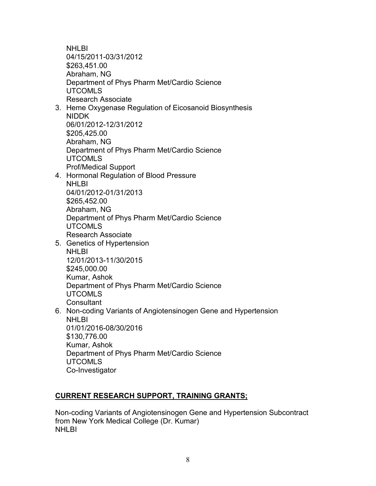**NHLBI** 04/15/2011-03/31/2012 \$263,451.00 Abraham, NG Department of Phys Pharm Met/Cardio Science UTCOMLS Research Associate

- 3. Heme Oxygenase Regulation of Eicosanoid Biosynthesis NIDDK 06/01/2012-12/31/2012 \$205,425.00 Abraham, NG Department of Phys Pharm Met/Cardio Science UTCOMLS Prof/Medical Support
- 4. Hormonal Regulation of Blood Pressure NHLBI 04/01/2012-01/31/2013 \$265,452.00 Abraham, NG Department of Phys Pharm Met/Cardio Science UTCOMLS Research Associate
- 5. Genetics of Hypertension NHLBI 12/01/2013-11/30/2015 \$245,000.00 Kumar, Ashok Department of Phys Pharm Met/Cardio Science UTCOMLS **Consultant** 6. Non-coding Variants of Angiotensinogen Gene and Hypertension NHLBI 01/01/2016-08/30/2016
	- \$130,776.00 Kumar, Ashok Department of Phys Pharm Met/Cardio Science UTCOMLS Co-Investigator

# **CURRENT RESEARCH SUPPORT, TRAINING GRANTS;**

Non-coding Variants of Angiotensinogen Gene and Hypertension Subcontract from New York Medical College (Dr. Kumar) **NHLBI**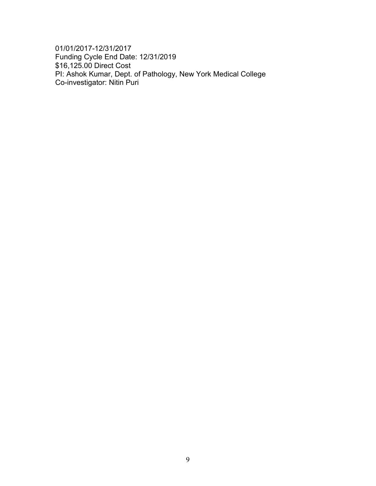01/01/2017-12/31/2017 Funding Cycle End Date: 12/31/2019 \$16,125.00 Direct Cost PI: Ashok Kumar, Dept. of Pathology, New York Medical College Co-investigator: Nitin Puri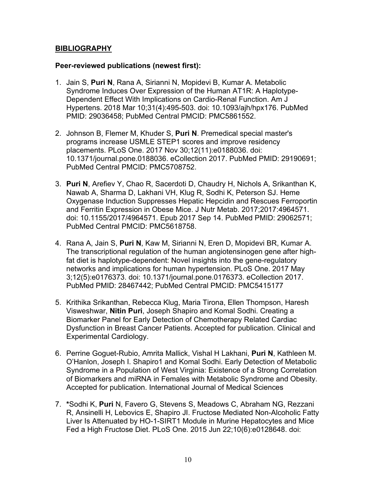### **BIBLIOGRAPHY**

### **Peer-reviewed publications (newest first):**

- 1. Jain S, **Puri N**, Rana A, Sirianni N, Mopidevi B, Kumar A. [Metabolic](https://www.ncbi.nlm.nih.gov/pubmed/29036458)  [Syndrome Induces Over Expression of the Human AT1R: A Haplotype-](https://www.ncbi.nlm.nih.gov/pubmed/29036458)[Dependent Effect With Implications on Cardio-Renal Function.](https://www.ncbi.nlm.nih.gov/pubmed/29036458) Am J Hypertens. 2018 Mar 10;31(4):495-503. doi: 10.1093/ajh/hpx176. PubMed PMID: 29036458; PubMed Central PMCID: PMC5861552.
- 2. Johnson B, Flemer M, Khuder S, **Puri N**. [Premedical special master's](https://www.ncbi.nlm.nih.gov/pubmed/29190691)  [programs increase USMLE STEP1 scores and improve residency](https://www.ncbi.nlm.nih.gov/pubmed/29190691)  [placements.](https://www.ncbi.nlm.nih.gov/pubmed/29190691) PLoS One. 2017 Nov 30;12(11):e0188036. doi: 10.1371/journal.pone.0188036. eCollection 2017. PubMed PMID: 29190691; PubMed Central PMCID: PMC5708752.
- 3. **Puri N**, Arefiev Y, Chao R, Sacerdoti D, Chaudry H, Nichols A, Srikanthan K, Nawab A, Sharma D, Lakhani VH, Klug R, Sodhi K, Peterson SJ. [Heme](https://www.ncbi.nlm.nih.gov/pubmed/29062571)  [Oxygenase Induction Suppresses Hepatic Hepcidin and Rescues Ferroportin](https://www.ncbi.nlm.nih.gov/pubmed/29062571)  [and Ferritin Expression in Obese Mice.](https://www.ncbi.nlm.nih.gov/pubmed/29062571) J Nutr Metab. 2017;2017:4964571. doi: 10.1155/2017/4964571. Epub 2017 Sep 14. PubMed PMID: 29062571; PubMed Central PMCID: PMC5618758.
- 4. Rana A, Jain S, **Puri N**, Kaw M, Sirianni N, Eren D, Mopidevi BR, Kumar A. [The transcriptional regulation of the human angiotensinogen gene after high](https://www.ncbi.nlm.nih.gov/pubmed/28467442)[fat diet is haplotype-dependent: Novel insights into the gene-regulatory](https://www.ncbi.nlm.nih.gov/pubmed/28467442)  [networks and implications for human hypertension.](https://www.ncbi.nlm.nih.gov/pubmed/28467442) PLoS One. 2017 May 3;12(5):e0176373. doi: 10.1371/journal.pone.0176373. eCollection 2017. PubMed PMID: 28467442; PubMed Central PMCID: PMC5415177
- 5. Krithika Srikanthan, Rebecca Klug, Maria Tirona, Ellen Thompson, Haresh Visweshwar, **Nitin Puri**, Joseph Shapiro and Komal Sodhi. Creating a Biomarker Panel for Early Detection of Chemotherapy Related Cardiac Dysfunction in Breast Cancer Patients. Accepted for publication. Clinical and Experimental Cardiology.
- 6. Perrine Goguet-Rubio, Amrita Mallick, Vishal H Lakhani, **Puri N**, Kathleen M. O'Hanlon, Joseph I. Shapiro1 and Komal Sodhi. Early Detection of Metabolic Syndrome in a Population of West Virginia: Existence of a Strong Correlation of Biomarkers and miRNA in Females with Metabolic Syndrome and Obesity. Accepted for publication. International Journal of Medical Sciences
- 7. **\***Sodhi K, **Puri** N, Favero G, Stevens S, Meadows C, Abraham NG, Rezzani R, Ansinelli H, Lebovics E, Shapiro JI. Fructose Mediated Non-Alcoholic Fatty Liver Is Attenuated by HO-1-SIRT1 Module in Murine Hepatocytes and Mice Fed a High Fructose Diet. PLoS One. 2015 Jun 22;10(6):e0128648. doi: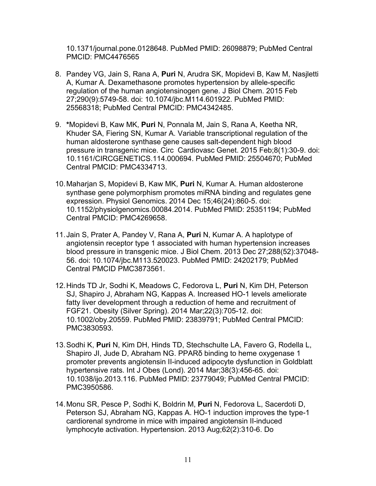10.1371/journal.pone.0128648. PubMed PMID: 26098879; PubMed Central PMCID: PMC4476565

- 8. Pandey VG, Jain S, Rana A, **Puri** N, Arudra SK, Mopidevi B, Kaw M, Nasjletti A, Kumar A. Dexamethasone promotes hypertension by allele-specific regulation of the human angiotensinogen gene. J Biol Chem. 2015 Feb 27;290(9):5749-58. doi: 10.1074/jbc.M114.601922. PubMed PMID: 25568318; PubMed Central PMCID: PMC4342485.
- 9. **\***Mopidevi B, Kaw MK, **Puri** N, Ponnala M, Jain S, Rana A, Keetha NR, Khuder SA, Fiering SN, Kumar A. Variable transcriptional regulation of the human aldosterone synthase gene causes salt-dependent high blood pressure in transgenic mice. Circ Cardiovasc Genet. 2015 Feb;8(1):30-9. doi: 10.1161/CIRCGENETICS.114.000694. PubMed PMID: 25504670; PubMed Central PMCID: PMC4334713.
- 10.Maharjan S, Mopidevi B, Kaw MK, **Puri** N, Kumar A. Human aldosterone synthase gene polymorphism promotes miRNA binding and regulates gene expression. Physiol Genomics. 2014 Dec 15;46(24):860-5. doi: 10.1152/physiolgenomics.00084.2014. PubMed PMID: 25351194; PubMed Central PMCID: PMC4269658.
- 11.Jain S, Prater A, Pandey V, Rana A, **Puri** N, Kumar A. A haplotype of angiotensin receptor type 1 associated with human hypertension increases blood pressure in transgenic mice. J Biol Chem. 2013 Dec 27;288(52):37048- 56. doi: 10.1074/jbc.M113.520023. PubMed PMID: 24202179; PubMed Central PMCID PMC3873561.
- 12.Hinds TD Jr, Sodhi K, Meadows C, Fedorova L, **Puri** N, Kim DH, Peterson SJ, Shapiro J, Abraham NG, Kappas A. Increased HO-1 levels ameliorate fatty liver development through a reduction of heme and recruitment of FGF21. Obesity (Silver Spring). 2014 Mar;22(3):705-12. doi: 10.1002/oby.20559. PubMed PMID: 23839791; PubMed Central PMCID: PMC3830593.
- 13.Sodhi K, **Puri** N, Kim DH, Hinds TD, Stechschulte LA, Favero G, Rodella L, Shapiro JI, Jude D, Abraham NG. PPARδ binding to heme oxygenase 1 promoter prevents angiotensin II-induced adipocyte dysfunction in Goldblatt hypertensive rats. Int J Obes (Lond). 2014 Mar;38(3):456-65. doi: 10.1038/ijo.2013.116. PubMed PMID: 23779049; PubMed Central PMCID: PMC3950586.
- 14.Monu SR, Pesce P, Sodhi K, Boldrin M, **Puri** N, Fedorova L, Sacerdoti D, Peterson SJ, Abraham NG, Kappas A. HO-1 induction improves the type-1 cardiorenal syndrome in mice with impaired angiotensin II-induced lymphocyte activation. Hypertension. 2013 Aug;62(2):310-6. Do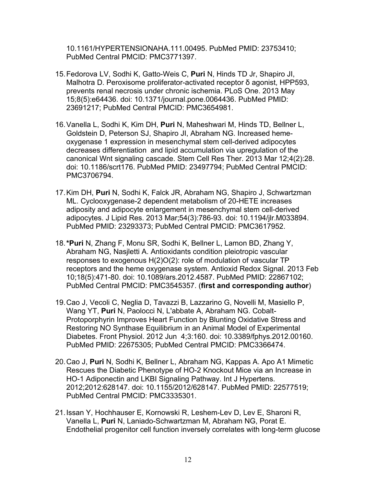10.1161/HYPERTENSIONAHA.111.00495. PubMed PMID: 23753410; PubMed Central PMCID: PMC3771397.

- 15.Fedorova LV, Sodhi K, Gatto-Weis C, **Puri** N, Hinds TD Jr, Shapiro JI, Malhotra D. Peroxisome proliferator-activated receptor δ agonist, HPP593, prevents renal necrosis under chronic ischemia. PLoS One. 2013 May 15;8(5):e64436. doi: 10.1371/journal.pone.0064436. PubMed PMID: 23691217; PubMed Central PMCID: PMC3654981.
- 16.Vanella L, Sodhi K, Kim DH, **Puri** N, Maheshwari M, Hinds TD, Bellner L, Goldstein D, Peterson SJ, Shapiro JI, Abraham NG. Increased hemeoxygenase 1 expression in mesenchymal stem cell-derived adipocytes decreases differentiation and lipid accumulation via upregulation of the canonical Wnt signaling cascade. Stem Cell Res Ther. 2013 Mar 12;4(2):28. doi: 10.1186/scrt176. PubMed PMID: 23497794; PubMed Central PMCID: PMC3706794.
- 17.Kim DH, **Puri** N, Sodhi K, Falck JR, Abraham NG, Shapiro J, Schwartzman ML. Cyclooxygenase-2 dependent metabolism of 20-HETE increases adiposity and adipocyte enlargement in mesenchymal stem cell-derived adipocytes. J Lipid Res. 2013 Mar;54(3):786-93. doi: 10.1194/jlr.M033894. PubMed PMID: 23293373; PubMed Central PMCID: PMC3617952.
- 18.**\*Puri** N, Zhang F, Monu SR, Sodhi K, Bellner L, Lamon BD, Zhang Y, Abraham NG, Nasjletti A. Antioxidants condition pleiotropic vascular responses to exogenous H(2)O(2): role of modulation of vascular TP receptors and the heme oxygenase system. Antioxid Redox Signal. 2013 Feb 10;18(5):471-80. doi: 10.1089/ars.2012.4587. PubMed PMID: 22867102; PubMed Central PMCID: PMC3545357. (**first and corresponding author**)
- 19.Cao J, Vecoli C, Neglia D, Tavazzi B, Lazzarino G, Novelli M, Masiello P, Wang YT, **Puri** N, Paolocci N, L'abbate A, Abraham NG. Cobalt-Protoporphyrin Improves Heart Function by Blunting Oxidative Stress and Restoring NO Synthase Equilibrium in an Animal Model of Experimental Diabetes. Front Physiol. 2012 Jun 4;3:160. doi: 10.3389/fphys.2012.00160. PubMed PMID: 22675305; PubMed Central PMCID: PMC3366474.
- 20.Cao J, **Puri** N, Sodhi K, Bellner L, Abraham NG, Kappas A. Apo A1 Mimetic Rescues the Diabetic Phenotype of HO-2 Knockout Mice via an Increase in HO-1 Adiponectin and LKBI Signaling Pathway. Int J Hypertens. 2012;2012:628147. doi: 10.1155/2012/628147. PubMed PMID: 22577519; PubMed Central PMCID: PMC3335301.
- 21.Issan Y, Hochhauser E, Kornowski R, Leshem-Lev D, Lev E, Sharoni R, Vanella L, **Puri** N, Laniado-Schwartzman M, Abraham NG, Porat E. Endothelial progenitor cell function inversely correlates with long-term glucose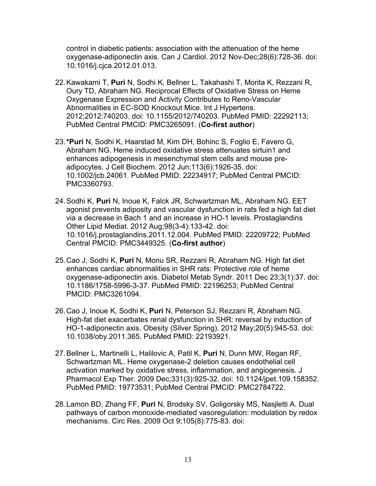control in diabetic patients: association with the attenuation of the heme oxygenase-adiponectin axis. Can J Cardiol. 2012 Nov-Dec;28(6):728-36. doi: 10.1016/j.cjca.2012.01.013.

- 22.Kawakami T, **Puri** N, Sodhi K, Bellner L, Takahashi T, Morita K, Rezzani R, Oury TD, Abraham NG. Reciprocal Effects of Oxidative Stress on Heme Oxygenase Expression and Activity Contributes to Reno-Vascular Abnormalities in EC-SOD Knockout Mice. Int J Hypertens. 2012;2012:740203. doi: 10.1155/2012/740203. PubMed PMID: 22292113; PubMed Central PMCID: PMC3265091. (**Co-first author**)
- 23.**\*Puri** N, Sodhi K, Haarstad M, Kim DH, Bohinc S, Foglio E, Favero G, Abraham NG. Heme induced oxidative stress attenuates sirtuin1 and enhances adipogenesis in mesenchymal stem cells and mouse preadipocytes. J Cell Biochem. 2012 Jun;113(6):1926-35. doi: 10.1002/jcb.24061. PubMed PMID: 22234917; PubMed Central PMCID: PMC3360793.
- 24.Sodhi K, **Puri** N, Inoue K, Falck JR, Schwartzman ML, Abraham NG. EET agonist prevents adiposity and vascular dysfunction in rats fed a high fat diet via a decrease in Bach 1 and an increase in HO-1 levels. Prostaglandins Other Lipid Mediat. 2012 Aug;98(3-4):133-42. doi: 10.1016/j.prostaglandins.2011.12.004. PubMed PMID: 22209722; PubMed Central PMCID: PMC3449325. (**Co-first author**)
- 25.Cao J, Sodhi K, **Puri** N, Monu SR, Rezzani R, Abraham NG. High fat diet enhances cardiac abnormalities in SHR rats: Protective role of heme oxygenase-adiponectin axis. Diabetol Metab Syndr. 2011 Dec 23;3(1):37. doi: 10.1186/1758-5996-3-37. PubMed PMID: 22196253; PubMed Central PMCID: PMC3261094.
- 26.Cao J, Inoue K, Sodhi K, **Puri** N, Peterson SJ, Rezzani R, Abraham NG. High-fat diet exacerbates renal dysfunction in SHR: reversal by induction of HO-1-adiponectin axis. Obesity (Silver Spring). 2012 May;20(5):945-53. doi: 10.1038/oby.2011.365. PubMed PMID: 22193921.
- 27.Bellner L, Martinelli L, Halilovic A, Patil K, **Puri** N, Dunn MW, Regan RF, Schwartzman ML. Heme oxygenase-2 deletion causes endothelial cell activation marked by oxidative stress, inflammation, and angiogenesis. J Pharmacol Exp Ther. 2009 Dec;331(3):925-32. doi: 10.1124/jpet.109.158352. PubMed PMID: 19773531; PubMed Central PMCID: PMC2784722.
- 28.Lamon BD, Zhang FF, **Puri** N, Brodsky SV, Goligorsky MS, Nasjletti A. Dual pathways of carbon monoxide-mediated vasoregulation: modulation by redox mechanisms. Circ Res. 2009 Oct 9;105(8):775-83. doi: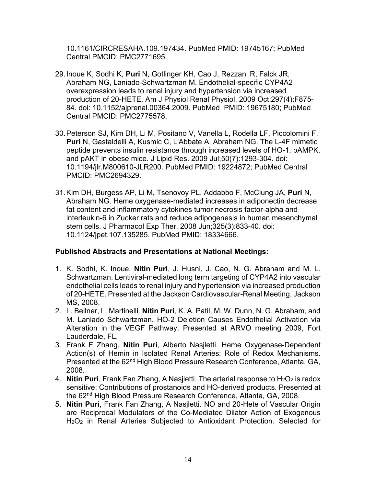10.1161/CIRCRESAHA.109.197434. PubMed PMID: 19745167; PubMed Central PMCID: PMC2771695.

- 29.Inoue K, Sodhi K, **Puri** N, Gotlinger KH, Cao J, Rezzani R, Falck JR, Abraham NG, Laniado-Schwartzman M. Endothelial-specific CYP4A2 overexpression leads to renal injury and hypertension via increased production of 20-HETE. Am J Physiol Renal Physiol. 2009 Oct;297(4):F875- 84. doi: 10.1152/ajprenal.00364.2009. PubMed PMID: 19675180; PubMed Central PMCID: PMC2775578.
- 30.Peterson SJ, Kim DH, Li M, Positano V, Vanella L, Rodella LF, Piccolomini F, **Puri** N, Gastaldelli A, Kusmic C, L'Abbate A, Abraham NG. The L-4F mimetic peptide prevents insulin resistance through increased levels of HO-1, pAMPK, and pAKT in obese mice. J Lipid Res. 2009 Jul;50(7):1293-304. doi: 10.1194/jlr.M800610-JLR200. PubMed PMID: 19224872; PubMed Central PMCID: PMC2694329.
- 31.Kim DH, Burgess AP, Li M, Tsenovoy PL, Addabbo F, McClung JA, **Puri** N, Abraham NG. Heme oxygenase-mediated increases in adiponectin decrease fat content and inflammatory cytokines tumor necrosis factor-alpha and interleukin-6 in Zucker rats and reduce adipogenesis in human mesenchymal stem cells. J Pharmacol Exp Ther. 2008 Jun;325(3):833-40. doi: 10.1124/jpet.107.135285. PubMed PMID: 18334666.

### **Published Abstracts and Presentations at National Meetings:**

- 1. K. Sodhi, K. Inoue, **Nitin Puri**, J. Husni, J. Cao, N. G. Abraham and M. L. Schwartzman. Lentiviral-mediated long term targeting of CYP4A2 into vascular endothelial cells leads to renal injury and hypertension via increased production of 20-HETE. Presented at the Jackson Cardiovascular-Renal Meeting, Jackson MS, 2008.
- 2. L. Bellner, L. Martinelli*,* **Nitin Puri**, K. A. Patil, M. W. Dunn, N. G. Abraham, and M. Laniado Schwartzman. HO-2 Deletion Causes Endothelial Activation via Alteration in the VEGF Pathway. Presented at ARVO meeting 2009, Fort Lauderdale, FL.
- 3. Frank F Zhang, **Nitin Puri**, Alberto Nasjletti. Heme Oxygenase-Dependent Action(s) of Hemin in Isolated Renal Arteries: Role of Redox Mechanisms. Presented at the 62<sup>nd</sup> High Blood Pressure Research Conference, Atlanta, GA, 2008.
- 4. **Nitin Puri**, Frank Fan Zhang, A Nasjletti. The arterial response to H<sub>2</sub>O<sub>2</sub> is redox sensitive: Contributions of prostanoids and HO-derived products. Presented at the 62<sup>nd</sup> High Blood Pressure Research Conference, Atlanta, GA, 2008.
- 5. **Nitin Puri**, Frank Fan Zhang, A Nasjletti. NO and 20-Hete of Vascular Origin are Reciprocal Modulators of the Co-Mediated Dilator Action of Exogenous H2O2 in Renal Arteries Subjected to Antioxidant Protection. Selected for